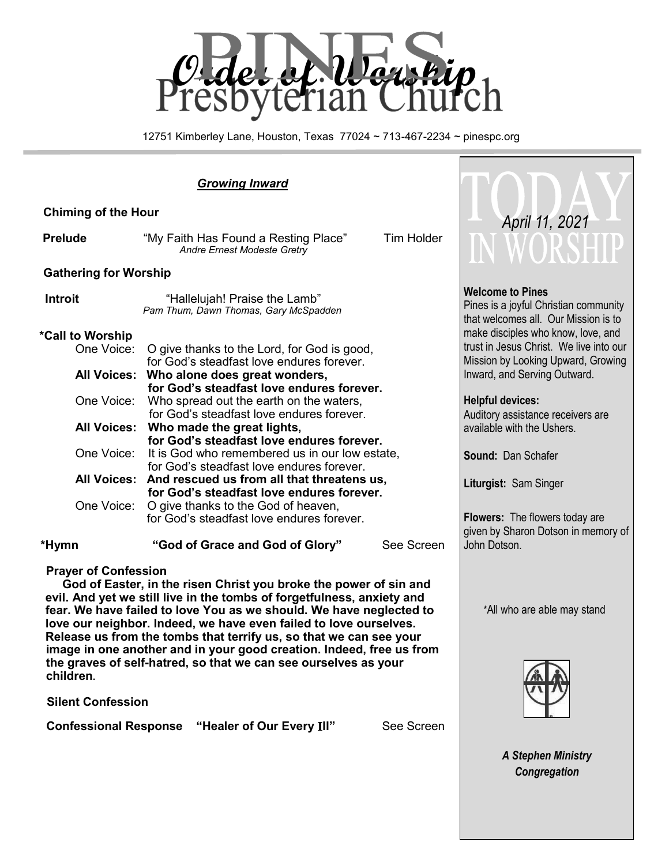

12751 Kimberley Lane, Houston, Texas 77024 ~ 713-467-2234 ~ pinespc.org

| <b>Chiming of the Hour</b>                                                               | April 11, 2021                                                                              |                                                                                                          |
|------------------------------------------------------------------------------------------|---------------------------------------------------------------------------------------------|----------------------------------------------------------------------------------------------------------|
| <b>Prelude</b>                                                                           | Tim Holder<br>"My Faith Has Found a Resting Place"<br>Andre Ernest Modeste Gretry           | WORSHII                                                                                                  |
| <b>Gathering for Worship</b>                                                             |                                                                                             |                                                                                                          |
| <b>Introit</b><br>"Hallelujah! Praise the Lamb"<br>Pam Thum, Dawn Thomas, Gary McSpadden |                                                                                             | <b>Welcome to Pines</b><br>Pines is a joyful Christian community<br>that welcomes all. Our Mission is to |
| *Call to Worship                                                                         |                                                                                             | make disciples who know, love, and                                                                       |
| One Voice:                                                                               | O give thanks to the Lord, for God is good,<br>for God's steadfast love endures forever.    | trust in Jesus Christ. We live into our<br>Mission by Looking Upward, Growing                            |
| <b>All Voices:</b>                                                                       | Who alone does great wonders,<br>for God's steadfast love endures forever.                  | Inward, and Serving Outward.                                                                             |
| One Voice:                                                                               | Who spread out the earth on the waters,<br>for God's steadfast love endures forever.        | <b>Helpful devices:</b><br>Auditory assistance receivers are                                             |
| <b>All Voices:</b>                                                                       | Who made the great lights,<br>for God's steadfast love endures forever.                     | available with the Ushers.                                                                               |
| One Voice:                                                                               | It is God who remembered us in our low estate,<br>for God's steadfast love endures forever. | Sound: Dan Schafer                                                                                       |
| <b>All Voices:</b>                                                                       | And rescued us from all that threatens us,<br>for God's steadfast love endures forever.     | Liturgist: Sam Singer                                                                                    |
| One Voice:                                                                               | O give thanks to the God of heaven,<br>for God's steadfast love endures forever.            | <b>Flowers:</b> The flowers today are<br>given by Sharon Dotson in memory of                             |

**Prayer of Confession**

 **God of Easter, in the risen Christ you broke the power of sin and evil. And yet we still live in the tombs of forgetfulness, anxiety and fear. We have failed to love You as we should. We have neglected to love our neighbor. Indeed, we have even failed to love ourselves. Release us from the tombs that terrify us, so that we can see your image in one another and in your good creation. Indeed, free us from the graves of self-hatred, so that we can see ourselves as your children.**

 **\*Hymn "God of Grace and God of Glory"** See Screen

 **Silent Confession**

 **Confessional Response "Healer of Our Every** I**ll"** See Screen



\*All who are able may stand

John Dotson.

*A Stephen Ministry Congregation*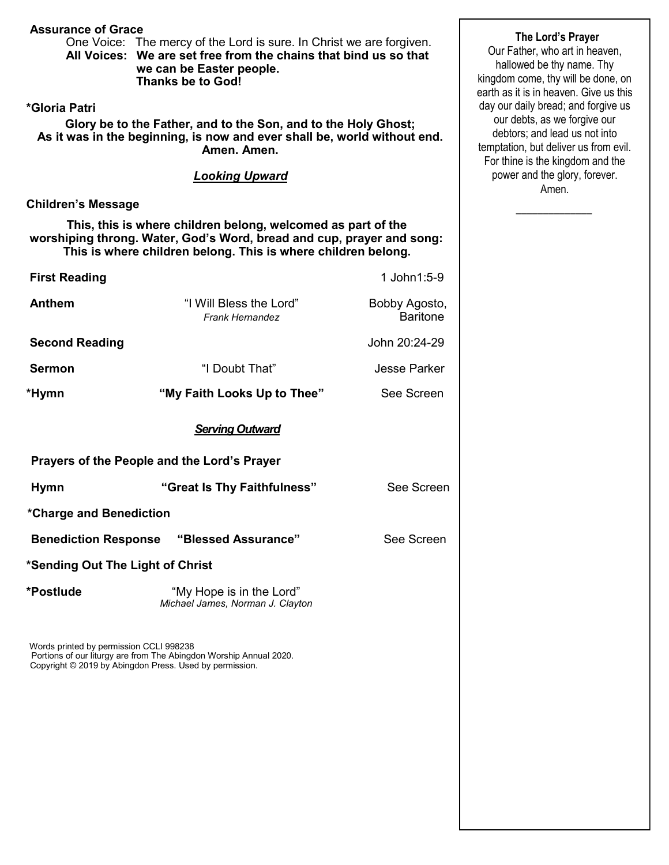#### **Assurance of Grace**

One Voice: The mercy of the Lord is sure. In Christ we are forgiven. **All Voices: We are set free from the chains that bind us so that we can be Easter people. Thanks be to God!**

## **\*Gloria Patri**

**Glory be to the Father, and to the Son, and to the Holy Ghost; As it was in the beginning, is now and ever shall be, world without end. Amen. Amen.** 

#### *Looking Upward*

# **Children's Message**

 **This, this is where children belong, welcomed as part of the worshiping throng. Water, God's Word, bread and cup, prayer and song: This is where children belong. This is where children belong.** 

| <b>First Reading</b>  |                                                                                       | 1 John1:5-9         |
|-----------------------|---------------------------------------------------------------------------------------|---------------------|
| <b>Anthem</b>         | "I Will Bless the Lord"<br>Bobby Agosto,<br><b>Baritone</b><br><b>Frank Hernandez</b> |                     |
| <b>Second Reading</b> |                                                                                       | John 20:24-29       |
| <b>Sermon</b>         | "I Doubt That"                                                                        | <b>Jesse Parker</b> |
| *Hymn                 | "My Faith Looks Up to Thee"                                                           | See Screen          |
|                       | <b>Serving Outward</b>                                                                |                     |
|                       | Prayers of the People and the Lord's Prayer                                           |                     |
| <b>Hymn</b>           | "Great Is Thy Faithfulness"                                                           | See Screen          |

**\*Charge and Benediction**

**Benediction Response "Blessed Assurance"** See Screen

#### **\*Sending Out The Light of Christ**

**\*Postlude** "My Hope is in the Lord" *Michael James, Norman J. Clayton*

Words printed by permission CCLI 998238 Portions of our liturgy are from The Abingdon Worship Annual 2020. Copyright © 2019 by Abingdon Press. Used by permission.

#### **The Lord's Prayer**

Our Father, who art in heaven, hallowed be thy name. Thy kingdom come, thy will be done, on earth as it is in heaven. Give us this day our daily bread; and forgive us our debts, as we forgive our debtors; and lead us not into temptation, but deliver us from evil. For thine is the kingdom and the power and the glory, forever. Amen.

 $\overline{\phantom{a}}$  ,  $\overline{\phantom{a}}$  ,  $\overline{\phantom{a}}$  ,  $\overline{\phantom{a}}$  ,  $\overline{\phantom{a}}$  ,  $\overline{\phantom{a}}$  ,  $\overline{\phantom{a}}$  ,  $\overline{\phantom{a}}$  ,  $\overline{\phantom{a}}$  ,  $\overline{\phantom{a}}$  ,  $\overline{\phantom{a}}$  ,  $\overline{\phantom{a}}$  ,  $\overline{\phantom{a}}$  ,  $\overline{\phantom{a}}$  ,  $\overline{\phantom{a}}$  ,  $\overline{\phantom{a}}$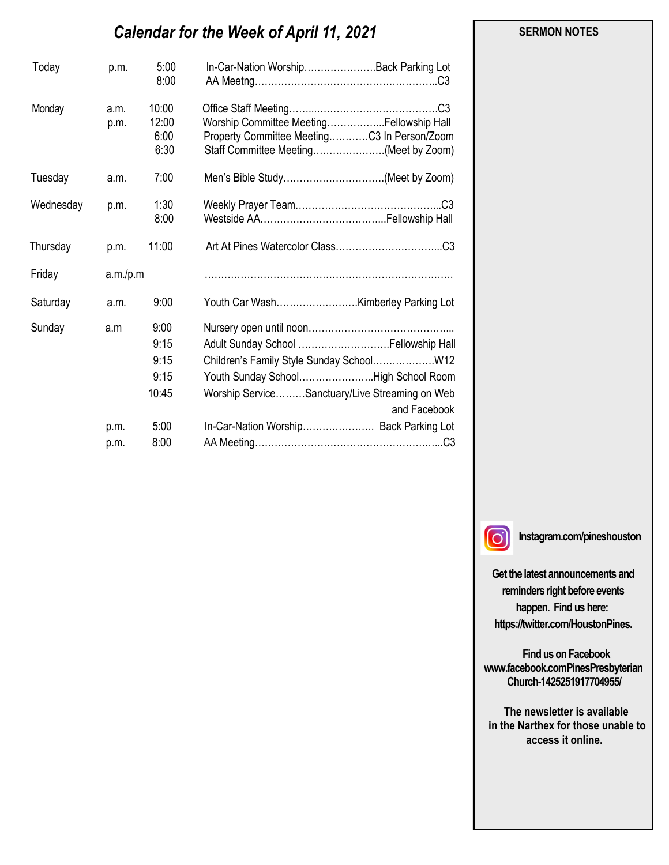# *Calendar for the Week of April 11, 2021*

| Today     | p.m.         | 5:00<br>8:00                   | In-Car-Nation WorshipBack Parking Lot                                                                                            |
|-----------|--------------|--------------------------------|----------------------------------------------------------------------------------------------------------------------------------|
| Monday    | a.m.<br>p.m. | 10:00<br>12:00<br>6:00<br>6:30 | Worship Committee MeetingFellowship Hall<br>Property Committee MeetingC3 In Person/Zoom<br>Staff Committee Meeting(Meet by Zoom) |
| Tuesday   | a.m.         | 7:00                           | Men's Bible Study(Meet by Zoom)                                                                                                  |
| Wednesday | p.m.         | 1:30<br>8:00                   |                                                                                                                                  |
| Thursday  | p.m.         | 11:00                          |                                                                                                                                  |
| Friday    | a.m./p.m     |                                |                                                                                                                                  |
| Saturday  | a.m.         | 9:00                           |                                                                                                                                  |
| Sunday    | a.m          | 9:00                           |                                                                                                                                  |
|           |              | 9:15                           | Adult Sunday School  Fellowship Hall                                                                                             |
|           |              | 9:15                           |                                                                                                                                  |
|           |              | 9:15                           | Youth Sunday SchoolHigh School Room                                                                                              |
|           |              | 10:45                          | Worship ServiceSanctuary/Live Streaming on Web<br>and Facebook                                                                   |
|           | p.m.         | 5:00                           | In-Car-Nation Worship Back Parking Lot                                                                                           |
|           | p.m.         | 8:00                           |                                                                                                                                  |

#### **SERMON NOTES**

 $\Omega$ 

**Instagram.com/pineshouston**

**Get the latest announcements and reminders right before events happen. Find us here: https://twitter.com/HoustonPines.** 

 **Find us on Facebook www.facebook.comPinesPresbyterian Church-1425251917704955/**

 **The newsletter is available in the Narthex for those unable to access it online.**